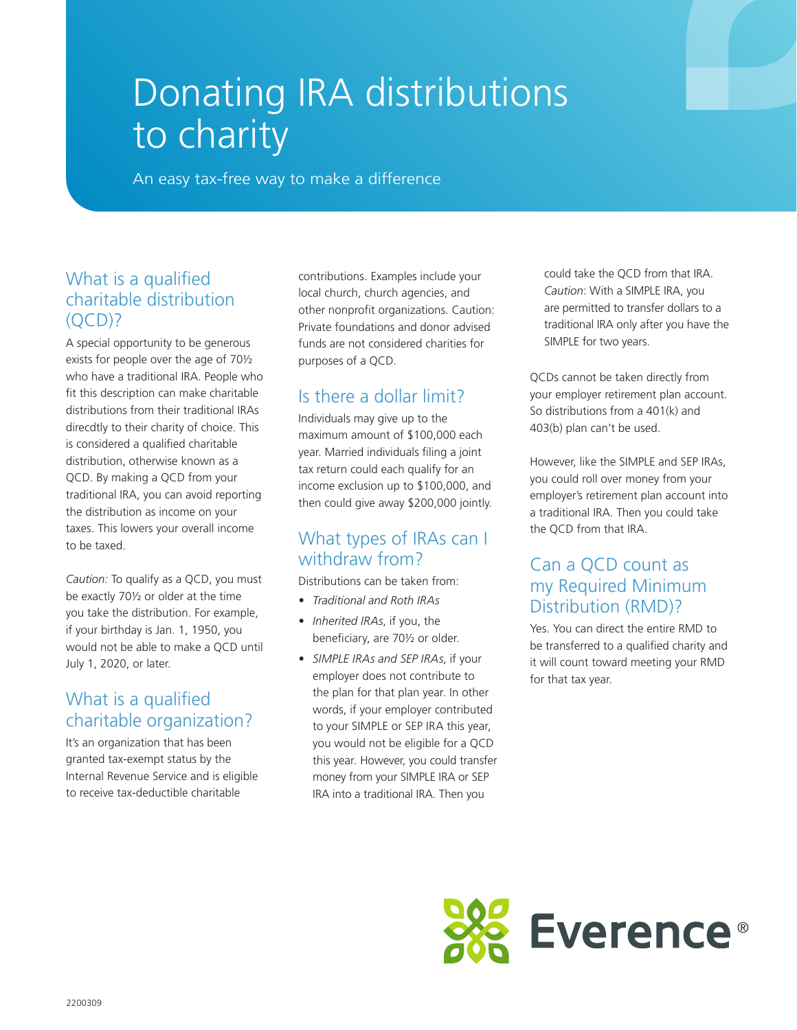# Donating IRA distributions to charity

An easy tax-free way to make a difference

#### What is a qualified charitable distribution  $(OCD)?$

A special opportunity to be generous exists for people over the age of 70½ who have a traditional IRA. People who fit this description can make charitable distributions from their traditional IRAs direcdtly to their charity of choice. This is considered a qualified charitable distribution, otherwise known as a QCD. By making a QCD from your traditional IRA, you can avoid reporting the distribution as income on your taxes. This lowers your overall income to be taxed.

*Caution:* To qualify as a QCD, you must be exactly 70½ or older at the time you take the distribution. For example, if your birthday is Jan. 1, 1950, you would not be able to make a QCD until July 1, 2020, or later.

#### What is a qualified charitable organization?

It's an organization that has been granted tax-exempt status by the Internal Revenue Service and is eligible to receive tax-deductible charitable

contributions. Examples include your local church, church agencies, and other nonprofit organizations. Caution: Private foundations and donor advised funds are not considered charities for purposes of a QCD.

## Is there a dollar limit?

Individuals may give up to the maximum amount of \$100,000 each year. Married individuals filing a joint tax return could each qualify for an income exclusion up to \$100,000, and then could give away \$200,000 jointly.

#### What types of IRAs can I withdraw from?

Distributions can be taken from:

- *• Traditional and Roth IRAs*
- *• Inherited IRAs*, if you, the beneficiary, are 70½ or older.
- *• SIMPLE IRAs and SEP IRAs*, if your employer does not contribute to the plan for that plan year. In other words, if your employer contributed to your SIMPLE or SEP IRA this year, you would not be eligible for a QCD this year. However, you could transfer money from your SIMPLE IRA or SEP IRA into a traditional IRA. Then you

could take the QCD from that IRA. *Caution*: With a SIMPLE IRA, you are permitted to transfer dollars to a traditional IRA only after you have the SIMPLE for two years.

QCDs cannot be taken directly from your employer retirement plan account. So distributions from a 401(k) and 403(b) plan can't be used.

However, like the SIMPLE and SEP IRAs, you could roll over money from your employer's retirement plan account into a traditional IRA. Then you could take the QCD from that IRA.

#### Can a QCD count as my Required Minimum Distribution (RMD)?

Yes. You can direct the entire RMD to be transferred to a qualified charity and it will count toward meeting your RMD for that tax year.